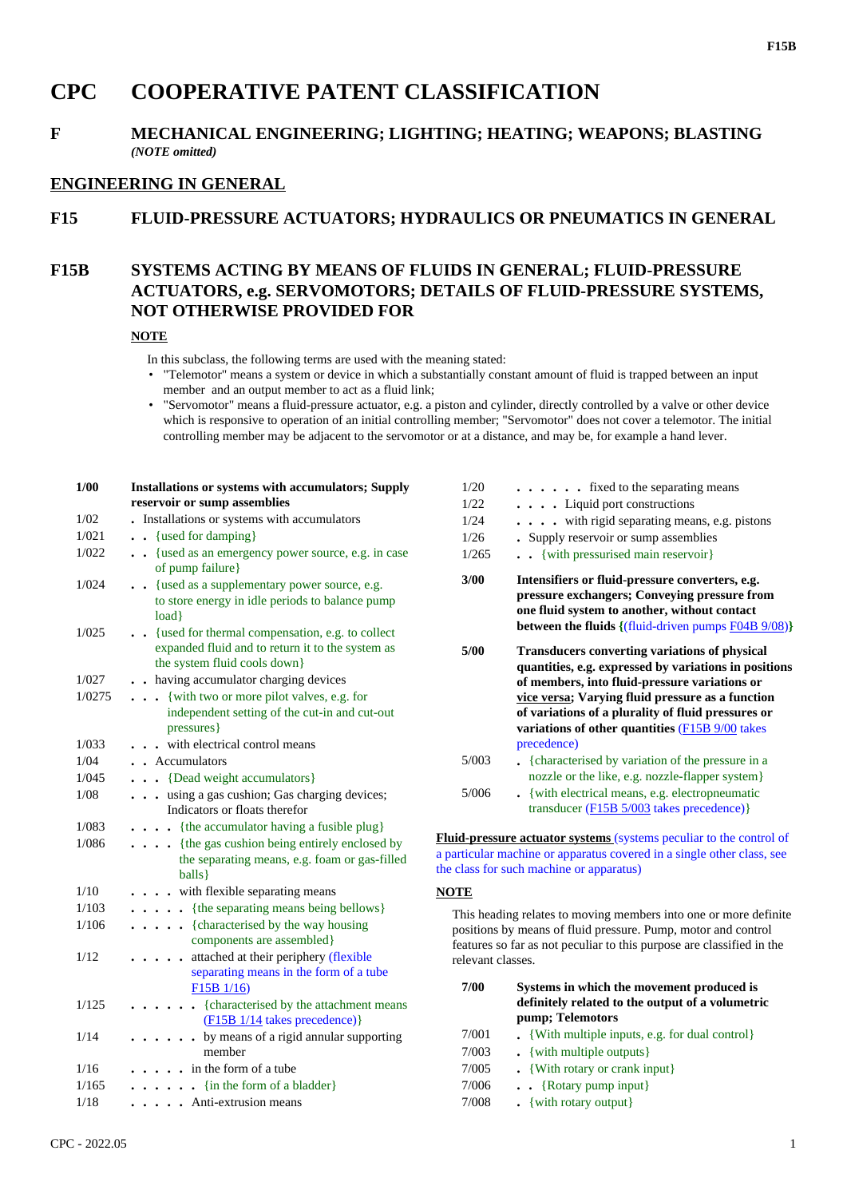# **CPC COOPERATIVE PATENT CLASSIFICATION**

### **F MECHANICAL ENGINEERING; LIGHTING; HEATING; WEAPONS; BLASTING** *(NOTE omitted)*

#### **ENGINEERING IN GENERAL**

#### **F15 FLUID-PRESSURE ACTUATORS; HYDRAULICS OR PNEUMATICS IN GENERAL**

## **F15B SYSTEMS ACTING BY MEANS OF FLUIDS IN GENERAL; FLUID-PRESSURE ACTUATORS, e.g. SERVOMOTORS; DETAILS OF FLUID-PRESSURE SYSTEMS, NOT OTHERWISE PROVIDED FOR**

#### **NOTE**

- In this subclass, the following terms are used with the meaning stated:
- "Telemotor" means a system or device in which a substantially constant amount of fluid is trapped between an input member and an output member to act as a fluid link;
- "Servomotor" means a fluid-pressure actuator, e.g. a piston and cylinder, directly controlled by a valve or other device which is responsive to operation of an initial controlling member; "Servomotor" does not cover a telemotor. The initial controlling member may be adjacent to the servomotor or at a distance, and may be, for example a hand lever.

| 1/00   | Installations or systems with accumulators; Supply<br>reservoir or sump assemblies                                                    |
|--------|---------------------------------------------------------------------------------------------------------------------------------------|
| 1/02   | Installations or systems with accumulators                                                                                            |
| 1/021  | {used for damping}                                                                                                                    |
| 1/022  | {used as an emergency power source, e.g. in case<br>$\sim$<br>of pump failure}                                                        |
| 1/024  | {used as a supplementary power source, e.g.<br>to store energy in idle periods to balance pump<br>load}                               |
| 1/025  | . {used for thermal compensation, e.g. to collect<br>expanded fluid and to return it to the system as<br>the system fluid cools down} |
| 1/027  | . having accumulator charging devices                                                                                                 |
| 1/0275 | {with two or more pilot valves, e.g. for<br>$\ddot{\phantom{0}}$                                                                      |
|        | independent setting of the cut-in and cut-out<br>pressures}                                                                           |
| 1/033  | with electrical control means                                                                                                         |
| 1/04   | • Accumulators                                                                                                                        |
| 1/045  | • {Dead weight accumulators}                                                                                                          |
| 1/08   | using a gas cushion; Gas charging devices;<br>Indicators or floats therefor                                                           |
| 1/083  | • {the accumulator having a fusible plug}                                                                                             |
| 1/086  | {the gas cushion being entirely enclosed by<br>the separating means, e.g. foam or gas-filled<br>balls }                               |
| 1/10   | with flexible separating means                                                                                                        |
| 1/103  | {the separating means being bellows}<br>$\ddot{\phantom{a}}$                                                                          |
| 1/106  | {characterised by the way housing<br>$\ddot{\phantom{0}}$<br>components are assembled}                                                |
| 1/12   | attached at their periphery (flexible<br>separating means in the form of a tube<br>F15B 1/16)                                         |
| 1/125  | • {characterised by the attachment means<br>$(F15B 1/14$ takes precedence)}                                                           |
| 1/14   | . by means of a rigid annular supporting<br>member                                                                                    |
| 1/16   | in the form of a tube                                                                                                                 |
| 1/165  | $\bullet$ {in the form of a bladder}                                                                                                  |
| 1/18   | Anti-extrusion means                                                                                                                  |

| CPC - 2022.05 |  |  |
|---------------|--|--|
|               |  |  |

| 1/22  | . Liquid port constructions                                                                                                                                                                                                                                                                                                                |
|-------|--------------------------------------------------------------------------------------------------------------------------------------------------------------------------------------------------------------------------------------------------------------------------------------------------------------------------------------------|
| 1/24  | $\cdots$ with rigid separating means, e.g. pistons                                                                                                                                                                                                                                                                                         |
| 1/26  | • Supply reservoir or sump assemblies                                                                                                                                                                                                                                                                                                      |
| 1/265 | . { with pressurised main reservoir }                                                                                                                                                                                                                                                                                                      |
| 3/00  | Intensifiers or fluid-pressure converters, e.g.<br>pressure exchangers; Conveying pressure from<br>one fluid system to another, without contact<br><b>between the fluids</b> $\{(\text{fluid-driven pumps F04B 9/08})\}$                                                                                                                   |
| 5/00  | <b>Transducers converting variations of physical</b><br>quantities, e.g. expressed by variations in positions<br>of members, into fluid-pressure variations or<br>vice versa; Varying fluid pressure as a function<br>of variations of a plurality of fluid pressures or<br>variations of other quantities (F15B 9/00 takes<br>precedence) |
| 5/003 | . {characterised by variation of the pressure in a                                                                                                                                                                                                                                                                                         |

1/20 **. . . . . .** fixed to the separating means

|       | $\bullet$ , which we consider $\circ$ , which can be the present as an w<br>nozzle or the like, e.g. nozzle-flapper system |
|-------|----------------------------------------------------------------------------------------------------------------------------|
| 5/006 | . {with electrical means, e.g. electropneumatic                                                                            |
|       | transducer ( $F15B5/003$ takes precedence) }                                                                               |

**Fluid-pressure actuator systems** (systems peculiar to the control of a particular machine or apparatus covered in a single other class, see the class for such machine or apparatus)

#### **NOTE**

This heading relates to moving members into one or more definite positions by means of fluid pressure. Pump, motor and control features so far as not peculiar to this purpose are classified in the relevant classes.

| 7/00  | Systems in which the movement produced is<br>definitely related to the output of a volumetric<br>pump; Telemotors |
|-------|-------------------------------------------------------------------------------------------------------------------|
| 7/001 | $\bullet$ {With multiple inputs, e.g. for dual control}                                                           |
| 7/003 | $\bullet$ {with multiple outputs}                                                                                 |
| 7/005 | . {With rotary or crank input}                                                                                    |
| 7/006 | $\bullet$ $\bullet$ {Rotary pump input}                                                                           |
| 7/000 | (x, t)                                                                                                            |

7/008 **.** {with rotary output}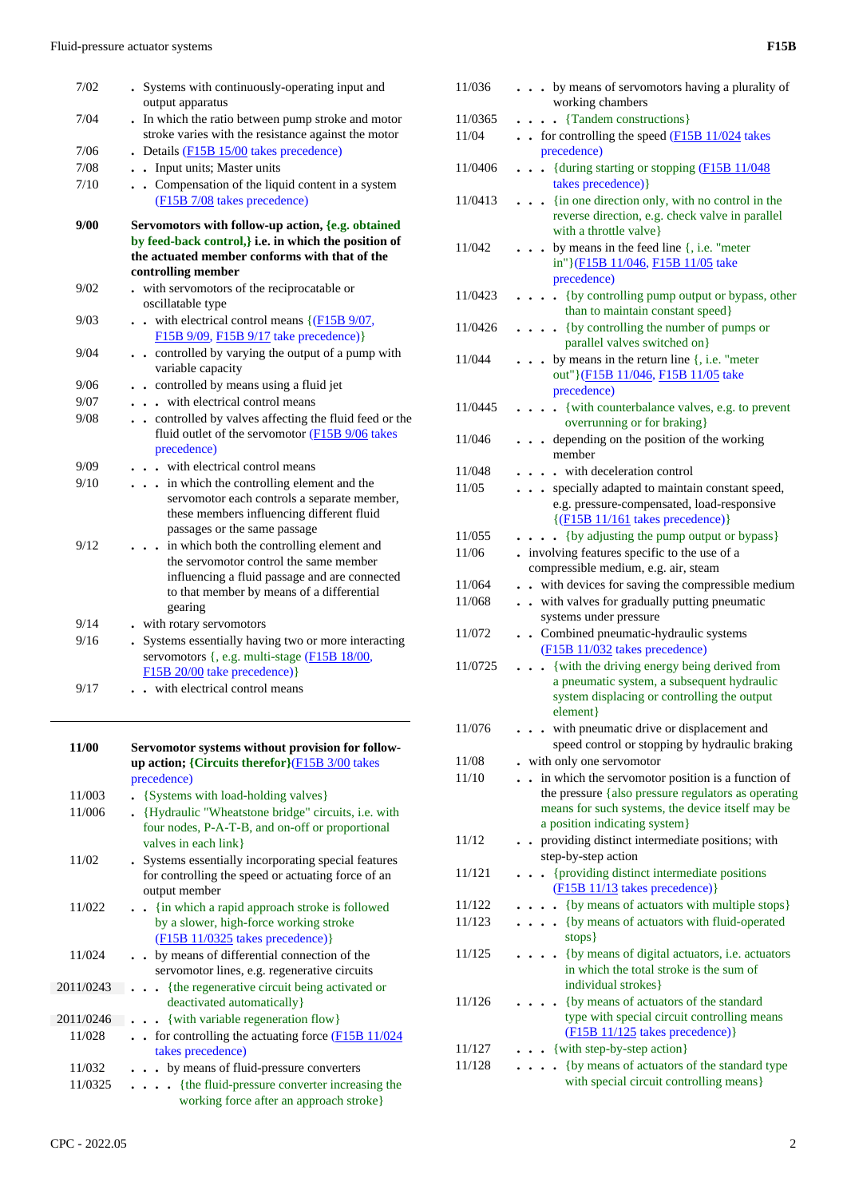| 7/02 | . Systems with continuously-operating input and<br>output apparatus                                                                                                                              |
|------|--------------------------------------------------------------------------------------------------------------------------------------------------------------------------------------------------|
| 7/04 | . In which the ratio between pump stroke and motor<br>stroke varies with the resistance against the motor                                                                                        |
| 7/06 | Details (F15B 15/00 takes precedence)                                                                                                                                                            |
| 7/08 | . . Input units; Master units                                                                                                                                                                    |
| 7/10 | Compensation of the liquid content in a system<br>(F15B 7/08 takes precedence)                                                                                                                   |
| 9/00 | Servomotors with follow-up action, {e.g. obtained<br>by feed-back control, i.e. in which the position of<br>the actuated member conforms with that of the<br>controlling member                  |
| 9/02 | . with servomotors of the reciprocatable or                                                                                                                                                      |
|      | oscillatable type                                                                                                                                                                                |
| 9/03 | with electrical control means $\{(\text{F15B } 9/07,$<br>F15B 9/09, F15B 9/17 take precedence) }                                                                                                 |
| 9/04 | . controlled by varying the output of a pump with<br>variable capacity                                                                                                                           |
| 9/06 | . controlled by means using a fluid jet                                                                                                                                                          |
| 9/07 | with electrical control means                                                                                                                                                                    |
| 9/08 | controlled by valves affecting the fluid feed or the<br>fluid outlet of the servomotor (F15B 9/06 takes<br>precedence)                                                                           |
| 9/09 | with electrical control means                                                                                                                                                                    |
| 9/10 | in which the controlling element and the<br>.<br>servomotor each controls a separate member,<br>these members influencing different fluid<br>passages or the same passage                        |
| 9/12 | . . in which both the controlling element and<br>the servomotor control the same member<br>influencing a fluid passage and are connected<br>to that member by means of a differential<br>gearing |
| 9/14 | - with rotary servomotors                                                                                                                                                                        |
| 9/16 | Systems essentially having two or more interacting                                                                                                                                               |
|      | servomotors {, e.g. multi-stage (F15B 18/00,<br>F15B 20/00 take precedence) }                                                                                                                    |
| 9/17 | . with electrical control means                                                                                                                                                                  |

| 11/00     | Servomotor systems without provision for follow-                                                                             |
|-----------|------------------------------------------------------------------------------------------------------------------------------|
|           | up action; {Circuits therefor} $(F15B 3/00)$ takes                                                                           |
|           | precedence)                                                                                                                  |
| 11/003    | • {Systems with load-holding valves}                                                                                         |
| 11/006    | {Hydraulic "Wheatstone bridge" circuits, i.e. with<br>four nodes, P-A-T-B, and on-off or proportional<br>valves in each link |
|           |                                                                                                                              |
| 11/02     | . Systems essentially incorporating special features<br>for controlling the speed or actuating force of an<br>output member  |
| 11/022    | . . {in which a rapid approach stroke is followed                                                                            |
|           | by a slower, high-force working stroke                                                                                       |
|           | $(F15B 11/0325$ takes precedence)                                                                                            |
| 11/024    | by means of differential connection of the                                                                                   |
|           | servomotor lines, e.g. regenerative circuits                                                                                 |
| 2011/0243 | {the regenerative circuit being activated or                                                                                 |
|           | deactivated automatically }                                                                                                  |
| 2011/0246 | $\ldots$ {with variable regeneration flow}                                                                                   |
| 11/028    | for controlling the actuating force $(F15B 11/024)$<br>$\sim$<br>takes precedence)                                           |
| 11/032    | . by means of fluid-pressure converters                                                                                      |
| 11/0325   | . {the fluid-pressure converter increasing the                                                                               |
|           | working force after an approach stroke}                                                                                      |

| 11/036  | by means of servomotors having a plurality of<br>working chambers                                                                                                                                 |
|---------|---------------------------------------------------------------------------------------------------------------------------------------------------------------------------------------------------|
| 11/0365 | {Tandem constructions}                                                                                                                                                                            |
| 11/04   | . . for controlling the speed (F15B 11/024 takes<br>precedence)                                                                                                                                   |
| 11/0406 | . {during starting or stopping (F15B 11/048)<br>takes precedence) }                                                                                                                               |
| 11/0413 | {in one direction only, with no control in the<br>reverse direction, e.g. check valve in parallel<br>with a throttle valve}                                                                       |
| 11/042  | $\bullet$ by means in the feed line {, i.e. "meter"<br>in"}(F15B 11/046, F15B 11/05 take<br>precedence)                                                                                           |
| 11/0423 | . {by controlling pump output or bypass, other<br>than to maintain constant speed}                                                                                                                |
| 11/0426 | $\ldots$ (by controlling the number of pumps or<br>parallel valves switched on}                                                                                                                   |
| 11/044  | by means in the return line $\{$ , i.e. "meter<br>out"}(F15B 11/046, F15B 11/05 take<br>precedence)                                                                                               |
| 11/0445 | • · {with counterbalance valves, e.g. to prevent<br>overrunning or for braking }                                                                                                                  |
| 11/046  | depending on the position of the working<br>member                                                                                                                                                |
| 11/048  | with deceleration control                                                                                                                                                                         |
| 11/05   | specially adapted to maintain constant speed,<br>$\ddot{\phantom{0}}$<br>e.g. pressure-compensated, load-responsive<br>$\{(\text{F15B } 11/161 \text{ takes precedence})\}$                       |
| 11/055  | • {by adjusting the pump output or bypass}                                                                                                                                                        |
| 11/06   | . involving features specific to the use of a<br>compressible medium, e.g. air, steam                                                                                                             |
| 11/064  | with devices for saving the compressible medium                                                                                                                                                   |
| 11/068  | . . with valves for gradually putting pneumatic<br>systems under pressure                                                                                                                         |
| 11/072  | . . Combined pneumatic-hydraulic systems<br>(F15B 11/032 takes precedence)                                                                                                                        |
| 11/0725 | {with the driving energy being derived from<br>.<br>a pneumatic system, a subsequent hydraulic<br>system displacing or controlling the output<br>element}                                         |
| 11/076  | with pneumatic drive or displacement and<br>speed control or stopping by hydraulic braking                                                                                                        |
| 11/08   | with only one servomotor                                                                                                                                                                          |
| 11/10   | . . in which the servomotor position is a function of<br>the pressure {also pressure regulators as operating<br>means for such systems, the device itself may be<br>a position indicating system} |
| 11/12   | • providing distinct intermediate positions; with<br>step-by-step action                                                                                                                          |
| 11/121  | {providing distinct intermediate positions<br>$\ddot{\phantom{0}}$<br>(F15B 11/13 takes precedence)}                                                                                              |
| 11/122  | {by means of actuators with multiple stops}                                                                                                                                                       |
| 11/123  | {by means of actuators with fluid-operated<br>stops }                                                                                                                                             |
| 11/125  | . {by means of digital actuators, i.e. actuators<br>in which the total stroke is the sum of<br>individual strokes}                                                                                |
| 11/126  | {by means of actuators of the standard<br>type with special circuit controlling means<br>(F15B 11/125 takes precedence)}                                                                          |
| 11/127  | {with step-by-step action}                                                                                                                                                                        |
| 11/128  | {by means of actuators of the standard type<br>with special circuit controlling means}                                                                                                            |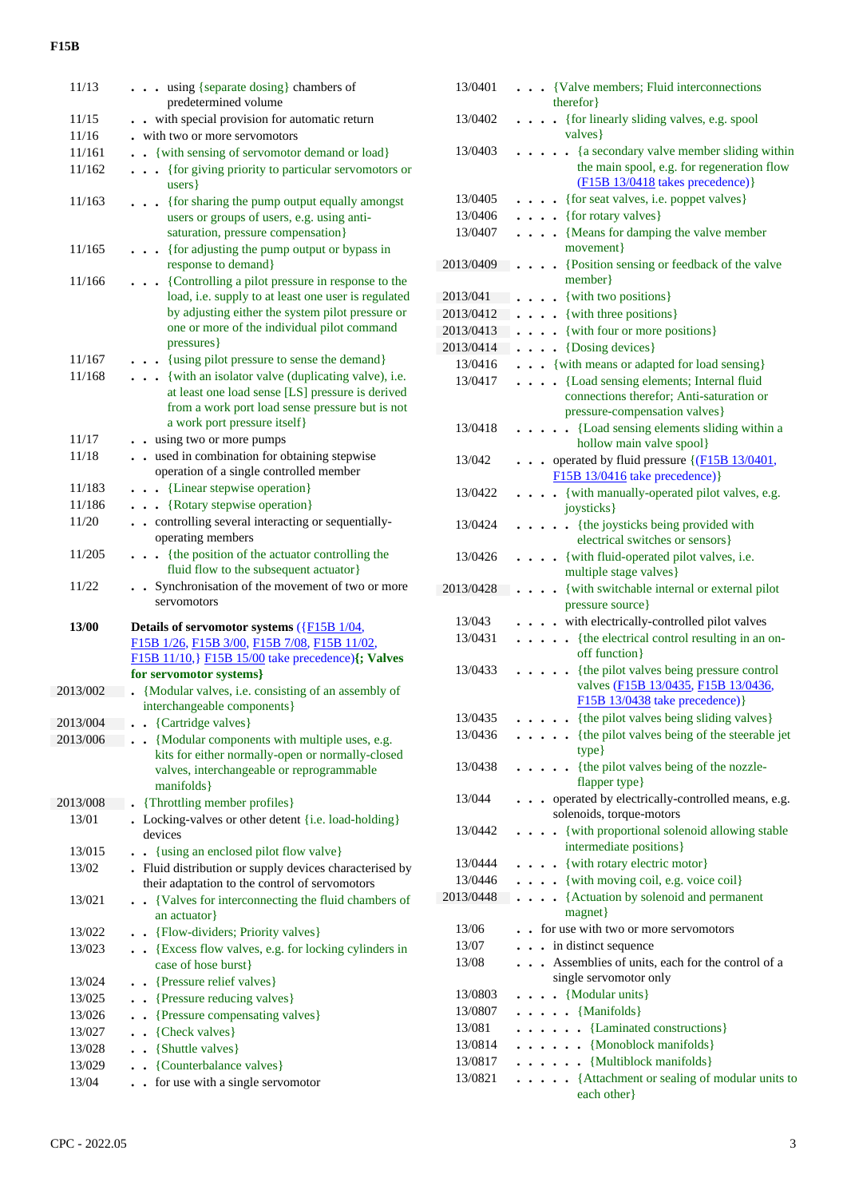| 11/13    | . using {separate dosing} chambers of<br>predetermined volume                                                                                                                                                            |
|----------|--------------------------------------------------------------------------------------------------------------------------------------------------------------------------------------------------------------------------|
| 11/15    | with special provision for automatic return                                                                                                                                                                              |
| 11/16    | with two or more servomotors                                                                                                                                                                                             |
| 11/161   | {with sensing of servomotor demand or load}                                                                                                                                                                              |
| 11/162   | {for giving priority to particular servomotors or<br>$\ddot{\phantom{0}}$<br>$\ddot{\phantom{0}}$<br>users }                                                                                                             |
| 11/163   | • {for sharing the pump output equally amongst<br>users or groups of users, e.g. using anti-<br>saturation, pressure compensation}                                                                                       |
| 11/165   | {for adjusting the pump output or bypass in<br>response to demand}                                                                                                                                                       |
| 11/166   | {Controlling a pilot pressure in response to the<br>load, i.e. supply to at least one user is regulated<br>by adjusting either the system pilot pressure or<br>one or more of the individual pilot command<br>pressures} |
| 11/167   | . {using pilot pressure to sense the demand}                                                                                                                                                                             |
| 11/168   | {with an isolator valve (duplicating valve), i.e.<br>at least one load sense [LS] pressure is derived<br>from a work port load sense pressure but is not<br>a work port pressure itself}                                 |
| 11/17    | . . using two or more pumps                                                                                                                                                                                              |
| 11/18    | . . used in combination for obtaining stepwise                                                                                                                                                                           |
|          | operation of a single controlled member                                                                                                                                                                                  |
| 11/183   | . . {Linear stepwise operation}                                                                                                                                                                                          |
| 11/186   | . . {Rotary stepwise operation}                                                                                                                                                                                          |
| 11/20    | . . controlling several interacting or sequentially-<br>operating members                                                                                                                                                |
| 11/205   | {the position of the actuator controlling the<br>$\ddot{\phantom{0}}$<br>fluid flow to the subsequent actuator}                                                                                                          |
|          |                                                                                                                                                                                                                          |
| 11/22    | . Synchronisation of the movement of two or more<br>servomotors                                                                                                                                                          |
| 13/00    | Details of servomotor systems $(\overline{\text{F15B 1}/04},$                                                                                                                                                            |
|          | F15B 1/26, F15B 3/00, F15B 7/08, F15B 11/02,                                                                                                                                                                             |
|          | F15B 11/10, F15B 15/00 take precedence) {; Valves<br>for servomotor systems}                                                                                                                                             |
| 2013/002 | {Modular valves, i.e. consisting of an assembly of                                                                                                                                                                       |
|          | interchangeable components}                                                                                                                                                                                              |
| 2013/004 | {Cartridge valves}                                                                                                                                                                                                       |
| 2013/006 | {Modular components with multiple uses, e.g.<br>kits for either normally-open or normally-closed<br>valves, interchangeable or reprogrammable<br>manifolds                                                               |
| 2013/008 | {Throttling member profiles}                                                                                                                                                                                             |
| 13/01    | • Locking-valves or other detent {i.e. load-holding}<br>devices                                                                                                                                                          |
| 13/015   | {using an enclosed pilot flow valve}                                                                                                                                                                                     |
| 13/02    | . Fluid distribution or supply devices characterised by<br>their adaptation to the control of servomotors                                                                                                                |
| 13/021   | {Valves for interconnecting the fluid chambers of<br>an actuator                                                                                                                                                         |
| 13/022   | {Flow-dividers; Priority valves}                                                                                                                                                                                         |
| 13/023   | {Excess flow valves, e.g. for locking cylinders in<br>case of hose burst}                                                                                                                                                |
| 13/024   | {Pressure relief valves}<br>$\bullet$                                                                                                                                                                                    |
| 13/025   | {Pressure reducing valves}<br>$\ddot{\phantom{0}}$                                                                                                                                                                       |
| 13/026   | {Pressure compensating valves}<br>$\bullet$                                                                                                                                                                              |
| 13/027   | {Check valves}<br>$\bullet$                                                                                                                                                                                              |
| 13/028   | {Shuttle valves}<br>$\ddot{\phantom{0}}$                                                                                                                                                                                 |
| 13/029   | {Counterbalance valves}                                                                                                                                                                                                  |

| 13/0401   | . {Valve members; Fluid interconnections                                                                       |
|-----------|----------------------------------------------------------------------------------------------------------------|
|           | therefor }                                                                                                     |
| 13/0402   | {for linearly sliding valves, e.g. spool<br>$\ddotsc$ $\ddotsc$                                                |
|           | valves }                                                                                                       |
| 13/0403   | {a secondary valve member sliding within<br>$\ddot{\phantom{0}}$<br>the main spool, e.g. for regeneration flow |
|           | $(F15B 13/0418$ takes precedence)}                                                                             |
| 13/0405   | {for seat valves, i.e. poppet valves}                                                                          |
| 13/0406   | {for rotary valves}<br>$\cdot$ $\cdot$ $\cdot$                                                                 |
| 13/0407   | {Means for damping the valve member                                                                            |
|           | movement }                                                                                                     |
| 2013/0409 | {Position sensing or feedback of the valve                                                                     |
|           | member}                                                                                                        |
| 2013/041  | {with two positions}<br>$\ddot{\phantom{0}}$                                                                   |
| 2013/0412 | {with three positions}<br>$\bullet$                                                                            |
| 2013/0413 | {with four or more positions}<br>$\bullet$                                                                     |
| 2013/0414 | {Dosing devices}<br>$\ddot{\phantom{0}}$                                                                       |
| 13/0416   | . . {with means or adapted for load sensing}                                                                   |
| 13/0417   | {Load sensing elements; Internal fluid                                                                         |
|           | connections therefor; Anti-saturation or                                                                       |
| 13/0418   | pressure-compensation valves}<br>{Load sensing elements sliding within a<br>$\ddot{\phantom{a}}$               |
|           | hollow main valve spool}                                                                                       |
| 13/042    | operated by fluid pressure {(F15B 13/0401,<br>$\ddot{\phantom{0}}$                                             |
|           | F15B 13/0416 take precedence) }                                                                                |
| 13/0422   | {with manually-operated pilot valves, e.g.                                                                     |
|           | joysticks }                                                                                                    |
| 13/0424   | {the joysticks being provided with                                                                             |
|           | electrical switches or sensors}                                                                                |
| 13/0426   | {with fluid-operated pilot valves, i.e.                                                                        |
|           | multiple stage valves}                                                                                         |
| 2013/0428 | {with switchable internal or external pilot                                                                    |
|           | pressure source}                                                                                               |
| 13/043    | with electrically-controlled pilot valves                                                                      |
| 13/0431   | {the electrical control resulting in an on-<br>$\ddot{\phantom{a}}$<br>off function}                           |
| 13/0433   | {the pilot valves being pressure control                                                                       |
|           | valves (F15B 13/0435, F15B 13/0436,                                                                            |
|           | F15B 13/0438 take precedence) }                                                                                |
| 13/0435   | {the pilot valves being sliding valves}                                                                        |
| 13/0436   | . {the pilot valves being of the steerable jet                                                                 |
|           | $type\}$                                                                                                       |
| 13/0438   | {the pilot valves being of the nozzle-                                                                         |
|           | flapper type}                                                                                                  |
| 13/044    | operated by electrically-controlled means, e.g.<br>$\ddot{\phantom{0}}$                                        |
| 13/0442   | solenoids, torque-motors                                                                                       |
|           | • {with proportional solenoid allowing stable<br>intermediate positions}                                       |
| 13/0444   | . {with rotary electric motor}                                                                                 |
| 13/0446   | $\ldots$ {with moving coil, e.g. voice coil}                                                                   |
| 2013/0448 | {Actuation by solenoid and permanent                                                                           |
|           | magnet}                                                                                                        |
| 13/06     | for use with two or more servomotors                                                                           |
| 13/07     | . in distinct sequence                                                                                         |
| 13/08     | Assemblies of units, each for the control of a                                                                 |
|           | single servomotor only                                                                                         |
| 13/0803   | • {Modular units}<br>$\bullet$ . $\bullet$ .                                                                   |
| 13/0807   | $\ldots$ {Manifolds}                                                                                           |
| 13/081    | . {Laminated constructions}                                                                                    |
| 13/0814   | $\ldots$ . [Monoblock manifolds]                                                                               |
| 13/0817   | $\ldots$ . [Multiblock manifolds]                                                                              |
| 13/0821   | • {Attachment or sealing of modular units to<br>.                                                              |
|           | each other}                                                                                                    |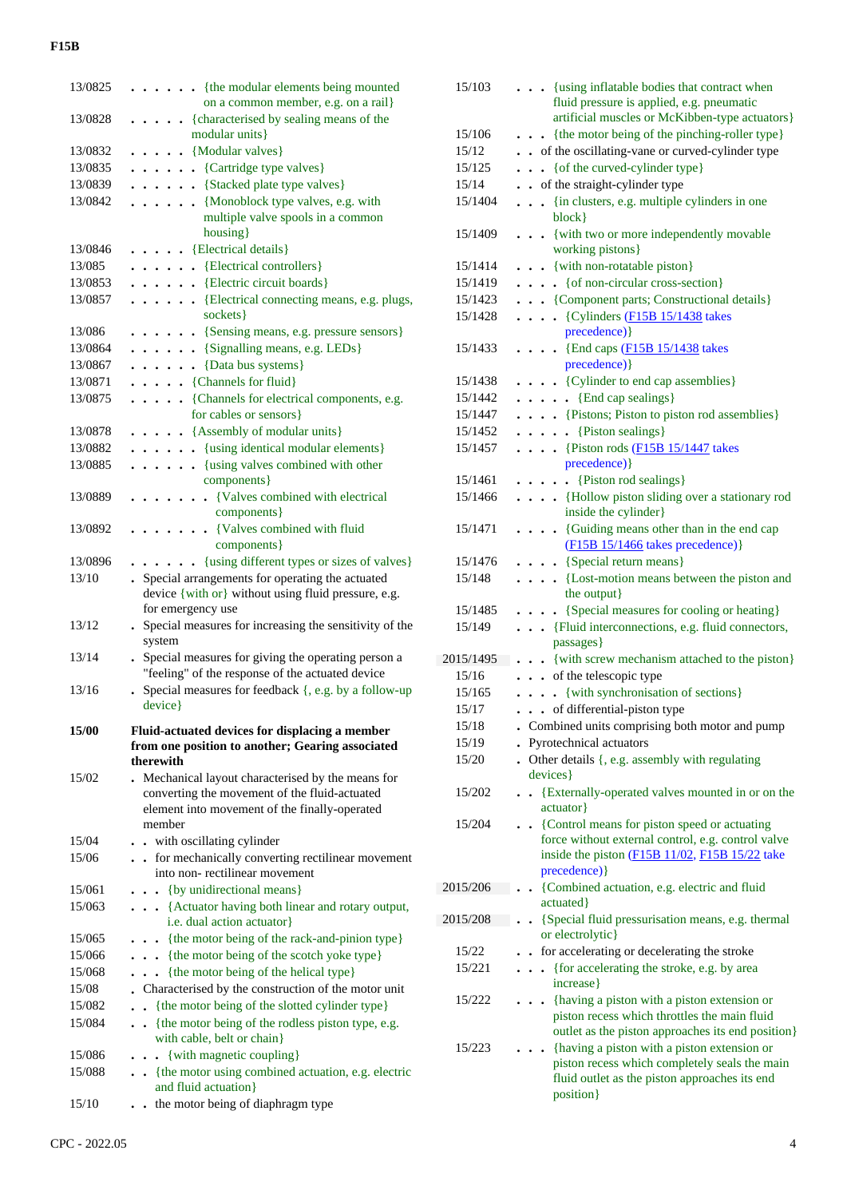| 13/0825      | . {the modular elements being mounted<br>on a common member, e.g. on a rail}                           |
|--------------|--------------------------------------------------------------------------------------------------------|
| 13/0828      | {characterised by sealing means of the                                                                 |
|              | modular units}                                                                                         |
| 13/0832      | $\ldots$ {Modular valves}                                                                              |
|              |                                                                                                        |
| 13/0835      | $\cdots$ $\cdots$ {Cartridge type valves}                                                              |
| 13/0839      | . {Stacked plate type valves}                                                                          |
| 13/0842      | {Monoblock type valves, e.g. with                                                                      |
|              | multiple valve spools in a common                                                                      |
|              | housing}                                                                                               |
| 13/0846      | . {Electrical details}                                                                                 |
| 13/085       | {Electrical controllers}                                                                               |
| 13/0853      | . [Electric circuit boards]                                                                            |
| 13/0857      | {Electrical connecting means, e.g. plugs,                                                              |
|              | sockets }                                                                                              |
| 13/086       | . {Sensing means, e.g. pressure sensors}                                                               |
| 13/0864      | $\ldots$ (Signalling means, e.g. LEDs)                                                                 |
| 13/0867      | {Data bus systems}<br>.                                                                                |
| 13/0871      | $\ldots$ (Channels for fluid)                                                                          |
| 13/0875      | {Channels for electrical components, e.g.                                                              |
|              | for cables or sensors}                                                                                 |
| 13/0878      | . {Assembly of modular units}                                                                          |
| 13/0882      | . {using identical modular elements}                                                                   |
| 13/0885      | $\cdots$ $\cdots$ {using valves combined with other                                                    |
|              | components }                                                                                           |
| 13/0889      | • {Valves combined with electrical                                                                     |
|              | components }                                                                                           |
| 13/0892      | • {Valves combined with fluid                                                                          |
|              | components }                                                                                           |
| 13/0896      | {using different types or sizes of valves}                                                             |
| 13/10        | . Special arrangements for operating the actuated                                                      |
|              | device {with or} without using fluid pressure, e.g.                                                    |
|              |                                                                                                        |
|              |                                                                                                        |
| 13/12        | for emergency use                                                                                      |
|              | . Special measures for increasing the sensitivity of the<br>system                                     |
| 13/14        |                                                                                                        |
|              | Special measures for giving the operating person a<br>"feeling" of the response of the actuated device |
| 13/16        | Special measures for feedback {, e.g. by a follow-up                                                   |
|              | device}                                                                                                |
|              |                                                                                                        |
| <b>15/00</b> | Fluid-actuated devices for displacing a member                                                         |
|              | from one position to another; Gearing associated                                                       |
|              | therewith                                                                                              |
| 15/02        | . Mechanical layout characterised by the means for                                                     |
|              | converting the movement of the fluid-actuated                                                          |
|              | element into movement of the finally-operated                                                          |
|              | member                                                                                                 |
| 15/04        | - with oscillating cylinder                                                                            |
| 15/06        | . . for mechanically converting rectilinear movement                                                   |
|              | into non-rectilinear movement                                                                          |
| 15/061       | $\ldots$ {by unidirectional means}                                                                     |
| 15/063       | . {Actuator having both linear and rotary output,                                                      |
|              | i.e. dual action actuator}                                                                             |
| 15/065       | {the motor being of the rack-and-pinion type}                                                          |
| 15/066       | {the motor being of the scotch yoke type}                                                              |
| 15/068       | {the motor being of the helical type}                                                                  |
| 15/08        | Characterised by the construction of the motor unit                                                    |
| 15/082       | {the motor being of the slotted cylinder type}<br>$\ddot{\phantom{0}}$                                 |
| 15/084       | {the motor being of the rodless piston type, e.g.                                                      |
|              | with cable, belt or chain}                                                                             |
| 15/086       | {with magnetic coupling}                                                                               |
| 15/088       | {the motor using combined actuation, e.g. electric                                                     |
| 15/10        | and fluid actuation}<br>. the motor being of diaphragm type                                            |

| 15/103    | . {using inflatable bodies that contract when                                                                              |
|-----------|----------------------------------------------------------------------------------------------------------------------------|
|           | fluid pressure is applied, e.g. pneumatic                                                                                  |
|           | artificial muscles or McKibben-type actuators}                                                                             |
| 15/106    | $\bullet$ $\bullet$ {the motor being of the pinching-roller type}                                                          |
| 15/12     | of the oscillating-vane or curved-cylinder type                                                                            |
| 15/125    | {of the curved-cylinder type}<br>$\ddotsc$                                                                                 |
| 15/14     | • of the straight-cylinder type                                                                                            |
| 15/1404   | {in clusters, e.g. multiple cylinders in one<br>block }                                                                    |
| 15/1409   | . {with two or more independently movable                                                                                  |
|           | working pistons}                                                                                                           |
| 15/1414   | . . {with non-rotatable piston}                                                                                            |
| 15/1419   | { of non-circular cross-section }                                                                                          |
| 15/1423   | . {Component parts; Constructional details}                                                                                |
| 15/1428   | $\cdots$ (Cylinders (F15B 15/1438 takes)                                                                                   |
|           | precedence) }                                                                                                              |
| 15/1433   | . {End caps (F15B 15/1438 takes                                                                                            |
|           | precedence) }                                                                                                              |
| 15/1438   | . {Cylinder to end cap assemblies}                                                                                         |
| 15/1442   | • {End cap sealings}<br>$\ddot{\phantom{0}}$                                                                               |
| 15/1447   | . {Pistons; Piston to piston rod assemblies}                                                                               |
| 15/1452   | $\bullet$ {Piston sealings}<br>.                                                                                           |
| 15/1457   | $\cdots$ [Piston rods (F15B 15/1447 takes                                                                                  |
|           | precedence) }                                                                                                              |
| 15/1461   | $\bullet$ $\bullet$ {Piston rod sealings}                                                                                  |
| 15/1466   | . {Hollow piston sliding over a stationary rod<br>inside the cylinder}                                                     |
| 15/1471   | {Guiding means other than in the end cap                                                                                   |
|           | (F15B 15/1466 takes precedence)}                                                                                           |
| 15/1476   | . {Special return means}                                                                                                   |
| 15/148    | {Lost-motion means between the piston and                                                                                  |
|           | the output}                                                                                                                |
| 15/1485   | {Special measures for cooling or heating}<br>$\cdots$                                                                      |
| 15/149    | {Fluid interconnections, e.g. fluid connectors,                                                                            |
|           | passages }                                                                                                                 |
| 2015/1495 | {with screw mechanism attached to the piston}                                                                              |
| 15/16     | . . of the telescopic type                                                                                                 |
| 15/165    | {with synchronisation of sections}<br>$\ddots$                                                                             |
| 15/17     | . . of differential-piston type                                                                                            |
| 15/18     | . Combined units comprising both motor and pump                                                                            |
| 15/19     | Pyrotechnical actuators                                                                                                    |
| 15/20     | • Other details {, e.g. assembly with regulating                                                                           |
|           | devices }                                                                                                                  |
| 15/202    | {Externally-operated valves mounted in or on the                                                                           |
| 15/204    | actuator}                                                                                                                  |
|           | {Control means for piston speed or actuating<br>$\ddot{\phantom{0}}$<br>force without external control, e.g. control valve |
|           | inside the piston (F15B 11/02, F15B 15/22 take                                                                             |
|           | precedence) }                                                                                                              |
| 2015/206  | {Combined actuation, e.g. electric and fluid                                                                               |
|           | actuated }                                                                                                                 |
| 2015/208  | {Special fluid pressurisation means, e.g. thermal<br>$\bullet$                                                             |
|           | or electrolytic                                                                                                            |
| 15/22     | for accelerating or decelerating the stroke                                                                                |
| 15/221    | {for accelerating the stroke, e.g. by area                                                                                 |
|           | increase}                                                                                                                  |
| 15/222    | {having a piston with a piston extension or                                                                                |
|           | piston recess which throttles the main fluid<br>outlet as the piston approaches its end position}                          |
| 15/223    | {having a piston with a piston extension or                                                                                |
|           | piston recess which completely seals the main                                                                              |
|           | fluid outlet as the piston approaches its end                                                                              |
|           | position}                                                                                                                  |
|           |                                                                                                                            |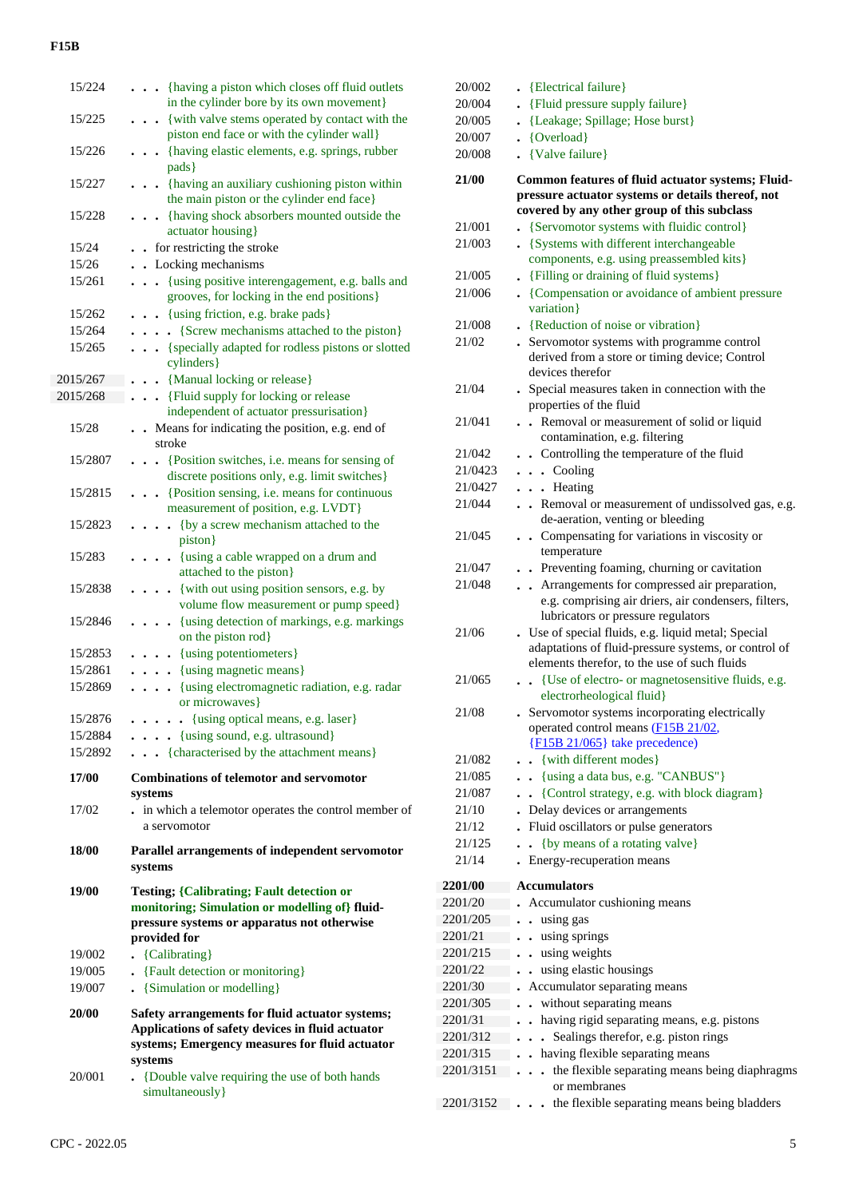| 15/224   | . {having a piston which closes off fluid outlets                                                                                                     |
|----------|-------------------------------------------------------------------------------------------------------------------------------------------------------|
|          | in the cylinder bore by its own movement}                                                                                                             |
| 15/225   | {with valve stems operated by contact with the<br>piston end face or with the cylinder wall}                                                          |
| 15/226   | . { having elastic elements, e.g. springs, rubber                                                                                                     |
|          | pads }                                                                                                                                                |
| 15/227   | • {having an auxiliary cushioning piston within                                                                                                       |
|          | the main piston or the cylinder end face}                                                                                                             |
| 15/228   | • {having shock absorbers mounted outside the                                                                                                         |
|          | actuator housing}                                                                                                                                     |
| 15/24    | for restricting the stroke                                                                                                                            |
| 15/26    | • Locking mechanisms                                                                                                                                  |
| 15/261   | {using positive interengagement, e.g. balls and<br>$\ddot{\phantom{1}}$<br>$\ddot{\phantom{1}}$<br>grooves, for locking in the end positions}         |
| 15/262   | • {using friction, e.g. brake pads}<br>$\bullet$                                                                                                      |
| 15/264   | • • {Screw mechanisms attached to the piston}                                                                                                         |
| 15/265   | • {specially adapted for rodless pistons or slotted<br>cylinders }                                                                                    |
| 2015/267 | • {Manual locking or release}                                                                                                                         |
| 2015/268 | {Fluid supply for locking or release<br>$\ddot{\phantom{0}}$                                                                                          |
|          | independent of actuator pressurisation}                                                                                                               |
| 15/28    | Means for indicating the position, e.g. end of<br>stroke                                                                                              |
| 15/2807  | {Position switches, i.e. means for sensing of<br>$\ddot{\phantom{1}}$<br>$\ddot{\phantom{a}}$<br>discrete positions only, e.g. limit switches}        |
| 15/2815  | . Position sensing, i.e. means for continuous                                                                                                         |
|          | measurement of position, e.g. LVDT}                                                                                                                   |
| 15/2823  | {by a screw mechanism attached to the<br>$\cdot$<br>piston}                                                                                           |
| 15/283   | . {using a cable wrapped on a drum and<br>attached to the piston}                                                                                     |
| 15/2838  | {with out using position sensors, e.g. by<br>$\ddot{\phantom{a}}$                                                                                     |
|          | volume flow measurement or pump speed}                                                                                                                |
| 15/2846  | {using detection of markings, e.g. markings<br>$\ddot{\phantom{1}}$<br>on the piston rod}                                                             |
| 15/2853  | • {using potentiometers}                                                                                                                              |
| 15/2861  | {using magnetic means}                                                                                                                                |
| 15/2869  | {using electromagnetic radiation, e.g. radar<br>or microwaves}                                                                                        |
| 15/2876  | . {using optical means, e.g. laser}                                                                                                                   |
| 15/2884  | . {using sound, e.g. ultrasound}                                                                                                                      |
| 15/2892  | {characterised by the attachment means}                                                                                                               |
| 17/00    | <b>Combinations of telemotor and servomotor</b>                                                                                                       |
| 17/02    | systems<br>. in which a telemotor operates the control member of                                                                                      |
|          | a servomotor                                                                                                                                          |
|          |                                                                                                                                                       |
| 18/00    | Parallel arrangements of independent servomotor<br>systems                                                                                            |
| 19/00    |                                                                                                                                                       |
|          | <b>Testing; {Calibrating; Fault detection or</b><br>monitoring; Simulation or modelling of} fluid-                                                    |
|          | pressure systems or apparatus not otherwise<br>provided for                                                                                           |
| 19/002   |                                                                                                                                                       |
| 19/005   | {Calibrating}<br>{Fault detection or monitoring}                                                                                                      |
| 19/007   | {Simulation or modelling}                                                                                                                             |
|          |                                                                                                                                                       |
| 20/00    | Safety arrangements for fluid actuator systems;<br>Applications of safety devices in fluid actuator<br>systems; Emergency measures for fluid actuator |
| 20/001   | systems<br>{Double valve requiring the use of both hands                                                                                              |

| 20/004                 | . {Fluid pressure supply failure}                                                                              |
|------------------------|----------------------------------------------------------------------------------------------------------------|
| 20/005                 | • {Leakage; Spillage; Hose burst}                                                                              |
| 20/007                 | • {Overload}                                                                                                   |
| 20/008                 | {Valve failure}                                                                                                |
| 21/00                  | Common features of fluid actuator systems; Fluid-                                                              |
|                        | pressure actuator systems or details thereof, not                                                              |
|                        | covered by any other group of this subclass                                                                    |
| 21/001                 | {Servomotor systems with fluidic control}                                                                      |
| 21/003                 | • {Systems with different interchangeable                                                                      |
|                        | components, e.g. using preassembled kits}                                                                      |
| 21/005                 | • {Filling or draining of fluid systems}                                                                       |
| 21/006                 | • {Compensation or avoidance of ambient pressure<br>variation}                                                 |
| 21/008                 | . {Reduction of noise or vibration}                                                                            |
| 21/02                  | . Servomotor systems with programme control                                                                    |
|                        | derived from a store or timing device; Control<br>devices therefor                                             |
| 21/04                  | . Special measures taken in connection with the<br>properties of the fluid                                     |
| 21/041                 | . Removal or measurement of solid or liquid<br>contamination, e.g. filtering                                   |
| 21/042                 | . Controlling the temperature of the fluid                                                                     |
| 21/0423                | $\cdots$ Cooling                                                                                               |
| 21/0427                | . Heating                                                                                                      |
| 21/044                 | . Removal or measurement of undissolved gas, e.g.                                                              |
|                        | de-aeration, venting or bleeding                                                                               |
| 21/045                 | . Compensating for variations in viscosity or<br>temperature                                                   |
| 21/047                 | . Preventing foaming, churning or cavitation                                                                   |
| 21/048                 | . Arrangements for compressed air preparation,                                                                 |
|                        | e.g. comprising air driers, air condensers, filters,                                                           |
|                        | lubricators or pressure regulators                                                                             |
| 21/06                  | . Use of special fluids, e.g. liquid metal; Special                                                            |
|                        | adaptations of fluid-pressure systems, or control of                                                           |
|                        | elements therefor, to the use of such fluids                                                                   |
| 21/065                 | {Use of electro- or magnetosensitive fluids, e.g.<br>$\ddot{\phantom{0}}$<br>electrorheological fluid}         |
| 21/08                  | . Servomotor systems incorporating electrically<br>operated control means (F15B 21/02,                         |
|                        | ${F15B 21/065}$ take precedence)                                                                               |
| 21/082                 | {with different modes}                                                                                         |
| 21/085                 |                                                                                                                |
|                        |                                                                                                                |
|                        | {using a data bus, e.g. "CANBUS"}                                                                              |
| 21/087                 | {Control strategy, e.g. with block diagram}                                                                    |
| 21/10                  | Delay devices or arrangements                                                                                  |
| 21/12<br>21/125        | Fluid oscillators or pulse generators<br>$\ddot{\phantom{0}}$                                                  |
| 21/14                  | {by means of a rotating valve}<br>Energy-recuperation means                                                    |
|                        |                                                                                                                |
| 2201/00                | <b>Accumulators</b>                                                                                            |
| 2201/20                | Accumulator cushioning means                                                                                   |
| 2201/205               | using gas                                                                                                      |
| 2201/21                | using springs                                                                                                  |
| 2201/215               | using weights                                                                                                  |
| 2201/22                | using elastic housings                                                                                         |
| 2201/30                | Accumulator separating means                                                                                   |
| 2201/305               | without separating means                                                                                       |
| 2201/31                | having rigid separating means, e.g. pistons                                                                    |
| 2201/312               | Sealings therefor, e.g. piston rings                                                                           |
| 2201/315               | having flexible separating means                                                                               |
| 2201/3151<br>2201/3152 | the flexible separating means being diaphragms<br>or membranes<br>the flexible separating means being bladders |

20/002 **.** {Electrical failure}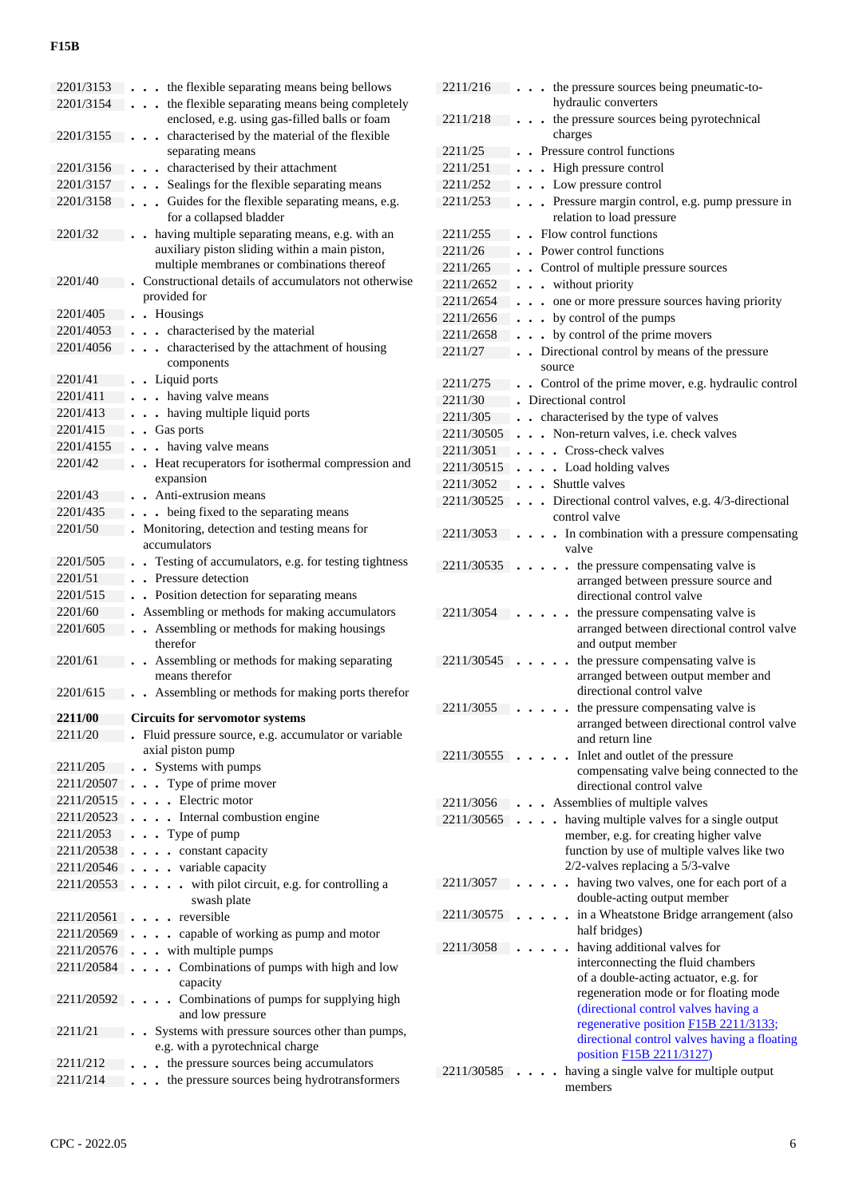| 2201/3153                | the flexible separating means being bellows                                                  |
|--------------------------|----------------------------------------------------------------------------------------------|
| 2201/3154                | the flexible separating means being completely<br>$\bullet$                                  |
|                          | enclosed, e.g. using gas-filled balls or foam                                                |
| 2201/3155                | characterised by the material of the flexible<br>$\ddot{\phantom{0}}$                        |
|                          | separating means                                                                             |
| 2201/3156                | . characterised by their attachment                                                          |
| 2201/3157                | Sealings for the flexible separating means                                                   |
| 2201/3158                | Guides for the flexible separating means, e.g.<br>$\ddot{\phantom{0}}$                       |
|                          | for a collapsed bladder                                                                      |
| 2201/32                  | having multiple separating means, e.g. with an                                               |
|                          | auxiliary piston sliding within a main piston,<br>multiple membranes or combinations thereof |
| 2201/40                  | Constructional details of accumulators not otherwise                                         |
|                          | provided for                                                                                 |
| 2201/405                 | • Housings                                                                                   |
| 2201/4053                | . characterised by the material                                                              |
| 2201/4056                | . characterised by the attachment of housing                                                 |
|                          | components                                                                                   |
| 2201/41                  | • Liquid ports                                                                               |
| 2201/411                 | . having valve means                                                                         |
| 2201/413                 | . having multiple liquid ports<br>$\ddot{\phantom{0}}$                                       |
| 2201/415                 | • Gas ports                                                                                  |
| 2201/4155                | . having valve means<br>$\bullet$                                                            |
| 2201/42                  | . Heat recuperators for isothermal compression and                                           |
|                          | expansion                                                                                    |
| 2201/43                  | Anti-extrusion means                                                                         |
| 2201/435                 | - being fixed to the separating means                                                        |
| 2201/50                  | Monitoring, detection and testing means for<br>accumulators                                  |
| 2201/505                 | • Testing of accumulators, e.g. for testing tightness                                        |
| 2201/51                  | . Pressure detection                                                                         |
| 2201/515                 | . Position detection for separating means                                                    |
| 2201/60                  | Assembling or methods for making accumulators                                                |
| 2201/605                 | Assembling or methods for making housings                                                    |
|                          | therefor                                                                                     |
| 2201/61                  | Assembling or methods for making separating                                                  |
|                          | means therefor                                                                               |
| 2201/615                 | Assembling or methods for making ports therefor                                              |
| <b>2211/00</b>           | <b>Circuits for servomotor systems</b>                                                       |
| 2211/20                  | Fluid pressure source, e.g. accumulator or variable                                          |
|                          | axial piston pump                                                                            |
| 2211/205                 | • Systems with pumps                                                                         |
| 2211/20507               | Type of prime mover<br>$\ddot{\phantom{0}}$                                                  |
| 2211/20515               | . Electric motor                                                                             |
| 2211/20523               | . Internal combustion engine                                                                 |
| 2211/2053                | . Type of pump                                                                               |
| 2211/20538               | . constant capacity                                                                          |
|                          | $2211/20546$ variable capacity                                                               |
| $2211/20553$             | with pilot circuit, e.g. for controlling a                                                   |
|                          | swash plate                                                                                  |
| 2211/20561               | . reversible                                                                                 |
| 2211/20569               | . capable of working as pump and motor<br>$\bullet$                                          |
| 2211/20576<br>2211/20584 | with multiple pumps<br>$\ddotsc$<br>Combinations of pumps with high and low                  |
|                          | $\ddot{\phantom{a}}$<br>capacity                                                             |
| 2211/20592               | Combinations of pumps for supplying high                                                     |
|                          |                                                                                              |
|                          |                                                                                              |
| 2211/21                  | and low pressure                                                                             |
|                          | • Systems with pressure sources other than pumps,<br>e.g. with a pyrotechnical charge        |
| 2211/212                 | the pressure sources being accumulators<br>$\ddot{\phantom{a}}$                              |
| 2211/214                 | . . the pressure sources being hydrotransformers                                             |

| 2211/216   | . . the pressure sources being pneumatic-to-                                         |
|------------|--------------------------------------------------------------------------------------|
|            | hydraulic converters                                                                 |
| 2211/218   | the pressure sources being pyrotechnical<br>$\ddot{\phantom{0}}$                     |
|            | charges                                                                              |
| 2211/25    | . Pressure control functions                                                         |
| 2211/251   | High pressure control<br>$\ddot{\phantom{0}}$<br>$\bullet$                           |
| 2211/252   | . . Low pressure control                                                             |
| 2211/253   | . Pressure margin control, e.g. pump pressure in<br>relation to load pressure        |
| 2211/255   | . Flow control functions                                                             |
| 2211/26    | . Power control functions                                                            |
| 2211/265   | • Control of multiple pressure sources                                               |
| 2211/2652  | . . without priority                                                                 |
| 2211/2654  | . . one or more pressure sources having priority                                     |
| 2211/2656  | by control of the pumps                                                              |
| 2211/2658  | by control of the prime movers                                                       |
| 2211/27    | • Directional control by means of the pressure                                       |
|            | source                                                                               |
| 2211/275   | • Control of the prime mover, e.g. hydraulic control                                 |
| 2211/30    | Directional control                                                                  |
| 2211/305   | characterised by the type of valves<br>$\ddot{\phantom{0}}$                          |
| 2211/30505 | Non-return valves, i.e. check valves<br>$\ddot{\phantom{a}}$<br>$\ddot{\phantom{0}}$ |
| 2211/3051  | . Cross-check valves                                                                 |
| 2211/30515 | . Load holding valves<br>$\ddot{\phantom{0}}$                                        |
| 2211/3052  | . . Shuttle valves                                                                   |
| 2211/30525 | . Directional control valves, e.g. 4/3-directional                                   |
|            | control valve                                                                        |
| 2211/3053  | . In combination with a pressure compensating                                        |
|            | valve                                                                                |
| 2211/30535 | . the pressure compensating valve is                                                 |
|            | arranged between pressure source and                                                 |
|            | directional control valve                                                            |
| 2211/3054  | the pressure compensating valve is                                                   |
|            | arranged between directional control valve                                           |
|            | and output member                                                                    |
| 2211/30545 | the pressure compensating valve is<br>arranged between output member and             |
|            | directional control valve                                                            |
| 2211/3055  | the pressure compensating valve is                                                   |
|            | arranged between directional control valve                                           |
|            | and return line                                                                      |
| 2211/30555 | Inlet and outlet of the pressure                                                     |
|            | compensating valve being connected to the                                            |
|            | directional control valve                                                            |
| 2211/3056  | Assemblies of multiple valves                                                        |
| 2211/30565 | having multiple valves for a single output                                           |
|            | member, e.g. for creating higher valve                                               |
|            | function by use of multiple valves like two                                          |
|            | 2/2-valves replacing a 5/3-valve                                                     |
| 2211/3057  | having two valves, one for each port of a                                            |
|            | double-acting output member                                                          |
| 2211/30575 | in a Wheatstone Bridge arrangement (also                                             |
|            | half bridges)                                                                        |
| 2211/3058  | having additional valves for                                                         |
|            | interconnecting the fluid chambers                                                   |
|            | of a double-acting actuator, e.g. for                                                |
|            | regeneration mode or for floating mode                                               |
|            | (directional control valves having a<br>regenerative position F15B 2211/3133;        |
|            | directional control valves having a floating                                         |
|            | position F15B 2211/3127)                                                             |
| 2211/30585 | having a single valve for multiple output                                            |
|            | members                                                                              |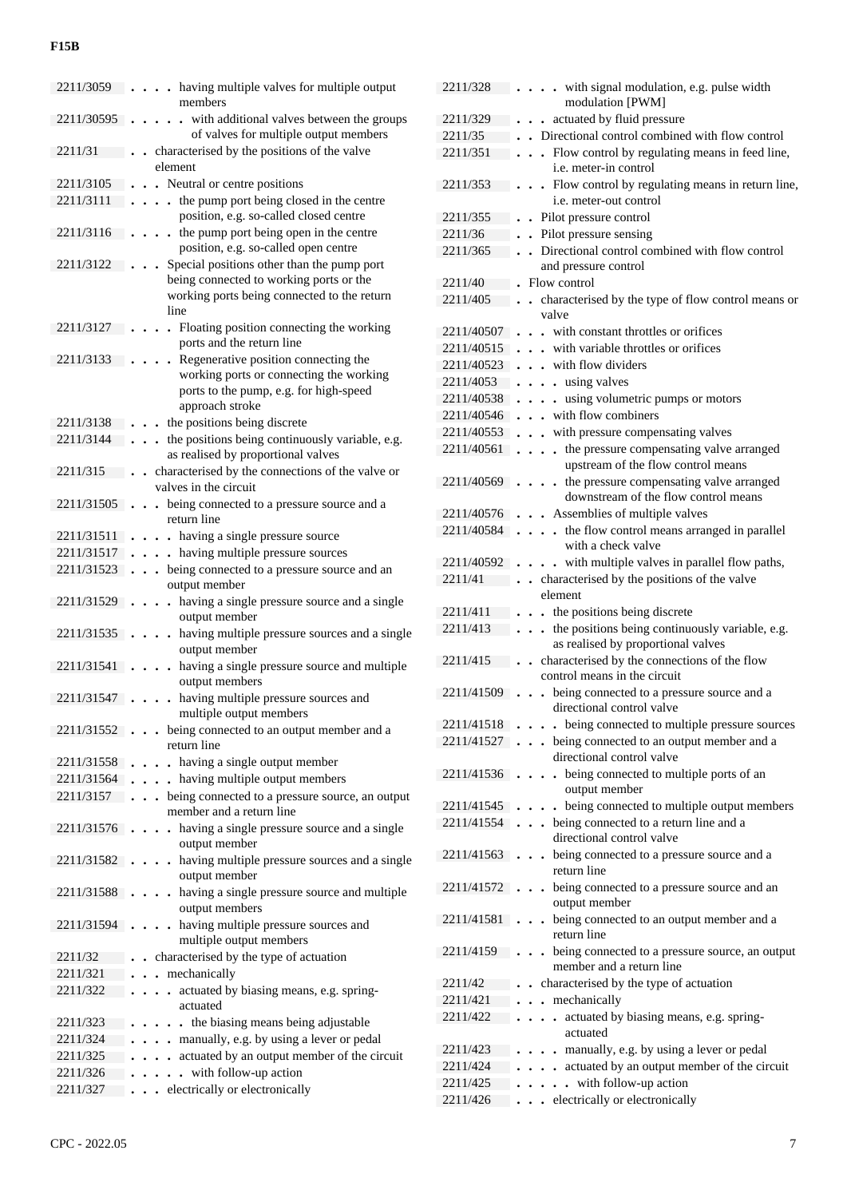| 2211/3059            |                      | having multiple valves for multiple output<br>members                              |
|----------------------|----------------------|------------------------------------------------------------------------------------|
| 2211/30595           |                      | with additional valves between the groups<br>of valves for multiple output members |
| 2211/31              | element              | characterised by the positions of the valve                                        |
| 2211/3105            |                      | • Neutral or centre positions                                                      |
| 2211/3111            |                      | the pump port being closed in the centre                                           |
|                      |                      | position, e.g. so-called closed centre                                             |
| 2211/3116            |                      | the pump port being open in the centre                                             |
|                      |                      |                                                                                    |
|                      |                      | position, e.g. so-called open centre                                               |
| 2211/3122            |                      | Special positions other than the pump port                                         |
|                      |                      | being connected to working ports or the                                            |
|                      |                      | working ports being connected to the return                                        |
|                      | line                 |                                                                                    |
| 2211/3127            | $\ddot{\phantom{a}}$ | Floating position connecting the working                                           |
|                      |                      | ports and the return line                                                          |
| 2211/3133            |                      | Regenerative position connecting the                                               |
|                      |                      | working ports or connecting the working                                            |
|                      |                      | ports to the pump, e.g. for high-speed                                             |
|                      |                      | approach stroke                                                                    |
| 2211/3138            |                      | the positions being discrete                                                       |
| 2211/3144            |                      | the positions being continuously variable, e.g.                                    |
|                      |                      | as realised by proportional valves                                                 |
| 2211/315             |                      | characterised by the connections of the valve or                                   |
|                      |                      | valves in the circuit                                                              |
| 2211/31505           | $\ddot{\phantom{0}}$ | being connected to a pressure source and a                                         |
|                      |                      | return line                                                                        |
| 2211/31511           |                      | . having a single pressure source                                                  |
| 2211/31517           |                      | . having multiple pressure sources                                                 |
| 2211/31523           | $\ddot{\phantom{0}}$ | being connected to a pressure source and an                                        |
|                      |                      | output member                                                                      |
| 2211/31529           |                      | having a single pressure source and a single                                       |
|                      |                      | output member                                                                      |
| 2211/31535           |                      | having multiple pressure sources and a single                                      |
|                      |                      | output member                                                                      |
| 2211/31541           |                      | having a single pressure source and multiple                                       |
|                      |                      | output members                                                                     |
| 2211/31547           |                      | having multiple pressure sources and                                               |
|                      |                      |                                                                                    |
|                      |                      | multiple output members                                                            |
|                      |                      | 2211/31552 being connected to an output member and a                               |
|                      |                      | return line                                                                        |
| 2211/31558           |                      | . having a single output member                                                    |
| 2211/31564           |                      | . having multiple output members                                                   |
| 2211/3157            | $\ddot{\phantom{0}}$ |                                                                                    |
|                      |                      | being connected to a pressure source, an output<br>member and a return line        |
|                      | $\ddot{\phantom{0}}$ |                                                                                    |
| 2211/31576           |                      | having a single pressure source and a single<br>output member                      |
|                      |                      |                                                                                    |
| 2211/31582.          |                      | having multiple pressure sources and a single                                      |
|                      |                      | output member                                                                      |
| 2211/31588           |                      | having a single pressure source and multiple                                       |
|                      |                      | output members                                                                     |
| 2211/31594           |                      | having multiple pressure sources and                                               |
|                      |                      | multiple output members                                                            |
| 2211/32              |                      | characterised by the type of actuation                                             |
| 2211/321             |                      | mechanically                                                                       |
| 2211/322             |                      | actuated by biasing means, e.g. spring-<br>actuated                                |
|                      |                      |                                                                                    |
| 2211/323             |                      | . the biasing means being adjustable                                               |
| 2211/324             |                      | . manually, e.g. by using a lever or pedal                                         |
| 2211/325             |                      | actuated by an output member of the circuit                                        |
| 2211/326<br>2211/327 |                      | - with follow-up action<br>electrically or electronically                          |

| 2211/328             | . with signal modulation, e.g. pulse width<br>modulation [PWM]                  |
|----------------------|---------------------------------------------------------------------------------|
| 2211/329             | actuated by fluid pressure                                                      |
| 2211/35              | Directional control combined with flow control                                  |
| 2211/351             | Flow control by regulating means in feed line,<br>$\ddot{\phantom{0}}$          |
|                      | i.e. meter-in control                                                           |
| 2211/353             | . Flow control by regulating means in return line,                              |
|                      | i.e. meter-out control                                                          |
| 2211/355             | . Pilot pressure control                                                        |
| 2211/36              | . Pilot pressure sensing                                                        |
| 2211/365             | Directional control combined with flow control                                  |
|                      | and pressure control                                                            |
| 2211/40              | Flow control                                                                    |
| 2211/405             | characterised by the type of flow control means or<br>$\ddot{\phantom{a}}$      |
|                      | valve                                                                           |
| 2211/40507           | with constant throttles or orifices                                             |
| 2211/40515           | with variable throttles or orifices                                             |
| 2211/40523           | . . with flow dividers                                                          |
| 2211/4053            | . using valves                                                                  |
| 2211/40538           | . using volumetric pumps or motors                                              |
| 2211/40546           | . with flow combiners                                                           |
| 2211/40553           | . . with pressure compensating valves                                           |
| 2211/40561           | the pressure compensating valve arranged                                        |
|                      | upstream of the flow control means                                              |
| 2211/40569.          | the pressure compensating valve arranged<br>$\ddot{\phantom{1}}$                |
|                      | downstream of the flow control means                                            |
| 2211/40576           | Assemblies of multiple valves                                                   |
| 2211/40584           | . . the flow control means arranged in parallel<br>with a check valve           |
| 2211/40592           | with multiple valves in parallel flow paths,                                    |
| 2211/41              | . characterised by the positions of the valve                                   |
|                      | element                                                                         |
| 2211/411             | . . the positions being discrete                                                |
| 2211/413             | the positions being continuously variable, e.g.                                 |
|                      | as realised by proportional valves                                              |
| 2211/415             | characterised by the connections of the flow<br>$\ddot{\phantom{a}}$            |
|                      | control means in the circuit                                                    |
| 2211/41509.          | being connected to a pressure source and a<br>$\ddotsc$                         |
|                      | directional control valve                                                       |
|                      |                                                                                 |
|                      | 2211/41518 being connected to multiple pressure sources                         |
|                      | 2211/41527 being connected to an output member and a                            |
|                      | directional control valve                                                       |
|                      | 2211/41536 being connected to multiple ports of an                              |
|                      | output member                                                                   |
| 2211/41545.          | - being connected to multiple output members<br>$\ddot{\phantom{0}}$            |
|                      | 2211/41554 being connected to a return line and a                               |
|                      | directional control valve                                                       |
|                      | 2211/41563 being connected to a pressure source and a<br>return line            |
|                      |                                                                                 |
| 2211/41572.          | being connected to a pressure source and an                                     |
| 2211/41581           | output member                                                                   |
|                      | • being connected to an output member and a<br>return line                      |
| 2211/4159            | being connected to a pressure source, an output<br>$\ddot{\phantom{a}}$         |
|                      | member and a return line                                                        |
| 2211/42              | characterised by the type of actuation                                          |
| 2211/421             | mechanically                                                                    |
| 2211/422             | actuated by biasing means, e.g. spring-<br>$\ddot{\phantom{a}}$                 |
|                      | actuated                                                                        |
| 2211/423             | manually, e.g. by using a lever or pedal                                        |
| 2211/424             | actuated by an output member of the circuit                                     |
| 2211/425<br>2211/426 | with follow-up action<br>$\ddot{\phantom{0}}$<br>electrically or electronically |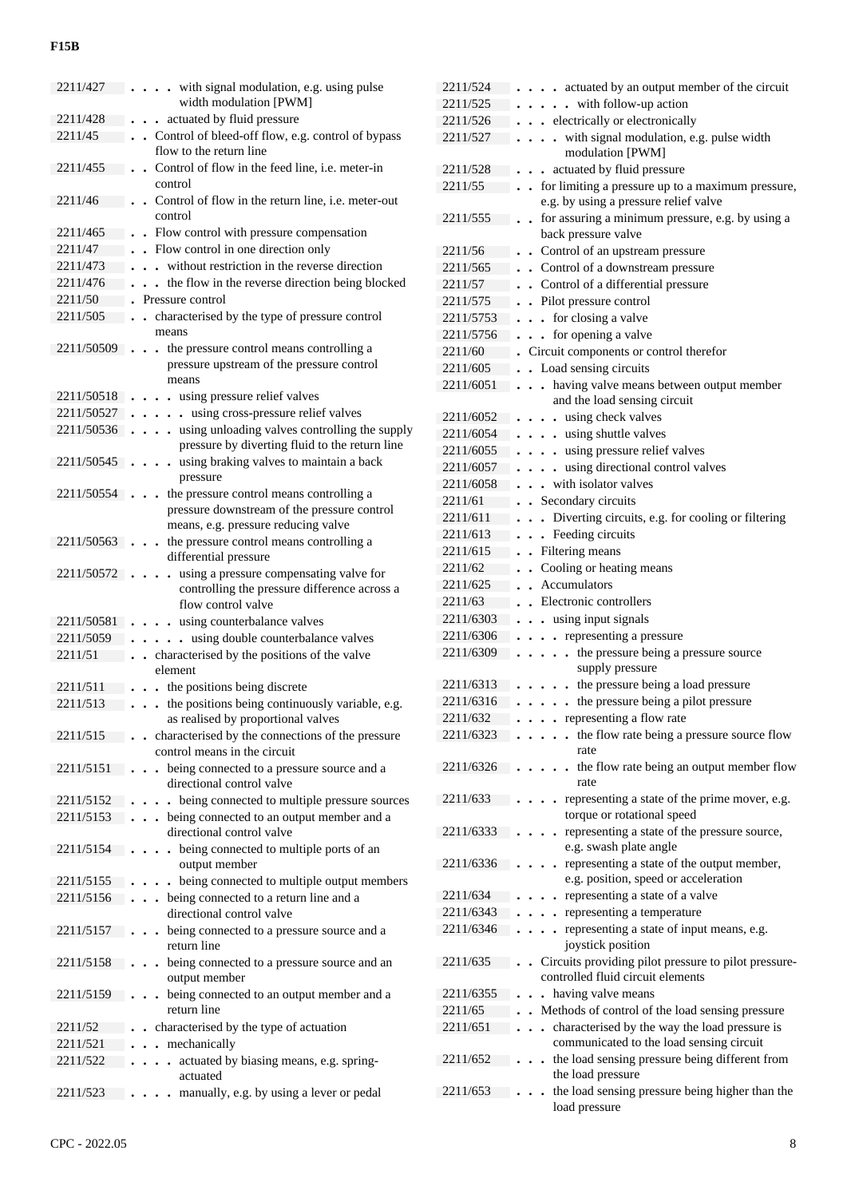| 2211/427    | with signal modulation, e.g. using pulse                                                                                                       |
|-------------|------------------------------------------------------------------------------------------------------------------------------------------------|
|             | width modulation [PWM]                                                                                                                         |
| 2211/428    | actuated by fluid pressure<br>$\ddot{\phantom{0}}$                                                                                             |
| 2211/45     | . Control of bleed-off flow, e.g. control of bypass<br>flow to the return line                                                                 |
| 2211/455    | Control of flow in the feed line, i.e. meter-in<br>$\cdot$                                                                                     |
|             | control                                                                                                                                        |
| 2211/46     | Control of flow in the return line, <i>i.e.</i> meter-out<br>control                                                                           |
| 2211/465    | • Flow control with pressure compensation                                                                                                      |
| 2211/47     | • Flow control in one direction only                                                                                                           |
| 2211/473    | without restriction in the reverse direction                                                                                                   |
| 2211/476    | the flow in the reverse direction being blocked                                                                                                |
| 2211/50     | Pressure control                                                                                                                               |
| 2211/505    | characterised by the type of pressure control                                                                                                  |
|             | means                                                                                                                                          |
| 2211/50509  | the pressure control means controlling a<br>$\ddot{\phantom{a}}$<br>$\ddot{\phantom{1}}$<br>pressure upstream of the pressure control<br>means |
| 2211/50518  | . using pressure relief valves                                                                                                                 |
| 2211/50527  | using cross-pressure relief valves<br>$\bullet$                                                                                                |
| 2211/50536  | . using unloading valves controlling the supply                                                                                                |
|             | pressure by diverting fluid to the return line                                                                                                 |
| 2211/50545  | . using braking valves to maintain a back<br>$\ddot{\phantom{a}}$<br>pressure                                                                  |
| 2211/50554. | the pressure control means controlling a<br>$\ddot{\phantom{0}}$                                                                               |
|             | pressure downstream of the pressure control                                                                                                    |
|             | means, e.g. pressure reducing valve                                                                                                            |
| 2211/50563. | the pressure control means controlling a                                                                                                       |
|             | differential pressure                                                                                                                          |
| 2211/50572  | using a pressure compensating valve for<br>$\ddot{\phantom{a}}$                                                                                |
|             | controlling the pressure difference across a                                                                                                   |
|             | flow control valve                                                                                                                             |
| 2211/50581  | using counterbalance valves<br>$\ddot{\phantom{a}}$                                                                                            |
| 2211/5059   | . using double counterbalance valves                                                                                                           |
| 2211/51     | characterised by the positions of the valve<br>$\bullet$<br>element                                                                            |
| 2211/511    | . the positions being discrete                                                                                                                 |
| 2211/513    | the positions being continuously variable, e.g.                                                                                                |
|             | as realised by proportional valves                                                                                                             |
| 2211/515    | characterised by the connections of the pressure<br>control means in the circuit                                                               |
| 2211/5151   | being connected to a pressure source and a                                                                                                     |
|             | directional control valve                                                                                                                      |
| 2211/5152   | being connected to multiple pressure sources                                                                                                   |
| 2211/5153   | being connected to an output member and a<br>$\ddot{\phantom{a}}$                                                                              |
|             | directional control valve                                                                                                                      |
| 2211/5154   | being connected to multiple ports of an<br>output member                                                                                       |
| 2211/5155   | being connected to multiple output members                                                                                                     |
| 2211/5156   | being connected to a return line and a                                                                                                         |
|             | directional control valve                                                                                                                      |
| 2211/5157   | being connected to a pressure source and a                                                                                                     |
|             | return line                                                                                                                                    |
| 2211/5158   | being connected to a pressure source and an                                                                                                    |
|             | output member                                                                                                                                  |
| 2211/5159   | being connected to an output member and a                                                                                                      |
|             | return line                                                                                                                                    |
| 2211/52     | characterised by the type of actuation                                                                                                         |
| 2211/521    | mechanically                                                                                                                                   |
| 2211/522    | actuated by biasing means, e.g. spring-                                                                                                        |
|             | actuated                                                                                                                                       |
| 2211/523    | manually, e.g. by using a lever or pedal                                                                                                       |
|             |                                                                                                                                                |

| 2211/524  | . actuated by an output member of the circuit                             |
|-----------|---------------------------------------------------------------------------|
| 2211/525  | $\cdots$ with follow-up action                                            |
| 2211/526  | . . electrically or electronically                                        |
| 2211/527  | . with signal modulation, e.g. pulse width<br>modulation [PWM]            |
| 2211/528  | actuated by fluid pressure                                                |
|           | $\bullet$<br>. . for limiting a pressure up to a maximum pressure,        |
| 2211/55   | e.g. by using a pressure relief valve                                     |
|           | for assuring a minimum pressure, e.g. by using a                          |
| 2211/555  | $\sim$                                                                    |
| 2211/56   | back pressure valve                                                       |
|           | • Control of an upstream pressure                                         |
| 2211/565  | • Control of a downstream pressure                                        |
| 2211/57   | • Control of a differential pressure                                      |
| 2211/575  | . Pilot pressure control                                                  |
| 2211/5753 | . . for closing a valve                                                   |
| 2211/5756 | . . for opening a valve                                                   |
| 2211/60   | Circuit components or control therefor                                    |
| 2211/605  | • Load sensing circuits                                                   |
| 2211/6051 | having valve means between output member<br>$\ddot{\phantom{a}}$          |
|           | and the load sensing circuit                                              |
| 2211/6052 | using check valves<br>$\ddot{\phantom{0}}$                                |
| 2211/6054 | . using shuttle valves                                                    |
| 2211/6055 | using pressure relief valves                                              |
| 2211/6057 | using directional control valves                                          |
| 2211/6058 | . with isolator valves                                                    |
| 2211/61   | Secondary circuits                                                        |
| 2211/611  | Diverting circuits, e.g. for cooling or filtering<br>$\ddot{\phantom{0}}$ |
| 2211/613  | Feeding circuits<br>$\ddot{\phantom{0}}$                                  |
| 2211/615  | Filtering means                                                           |
| 2211/62   | Cooling or heating means                                                  |
| 2211/625  | <b>Accumulators</b>                                                       |
| 2211/63   | Electronic controllers                                                    |
| 2211/6303 | using input signals                                                       |
| 2211/6306 | • representing a pressure                                                 |
|           |                                                                           |
| 2211/6309 | the pressure being a pressure source<br>$\overline{a}$                    |
|           | supply pressure                                                           |
| 2211/6313 | . the pressure being a load pressure                                      |
| 2211/6316 | the pressure being a pilot pressure                                       |
| 2211/632  | . . representing a flow rate                                              |
| 2211/6323 | $\ddot{\phantom{0}}$                                                      |
|           | . the flow rate being a pressure source flow<br>rate                      |
| 2211/6326 | the flow rate being an output member flow                                 |
|           | rate                                                                      |
| 2211/633  | representing a state of the prime mover, e.g.<br>$\ddot{\phantom{0}}$     |
|           | torque or rotational speed                                                |
| 2211/6333 | representing a state of the pressure source,                              |
|           | e.g. swash plate angle                                                    |
| 2211/6336 | representing a state of the output member,                                |
|           | e.g. position, speed or acceleration                                      |
| 2211/634  | representing a state of a valve                                           |
| 2211/6343 | representing a temperature                                                |
| 2211/6346 | representing a state of input means, e.g.<br>$\ddot{\phantom{0}}$         |
|           | joystick position                                                         |
| 2211/635  | Circuits providing pilot pressure to pilot pressure-                      |
|           | controlled fluid circuit elements                                         |
| 2211/6355 | having valve means<br>$\overline{a}$                                      |
| 2211/65   | Methods of control of the load sensing pressure                           |
| 2211/651  | characterised by the way the load pressure is                             |
|           | communicated to the load sensing circuit                                  |
| 2211/652  | the load sensing pressure being different from                            |
|           | the load pressure                                                         |
| 2211/653  | the load sensing pressure being higher than the<br>load pressure          |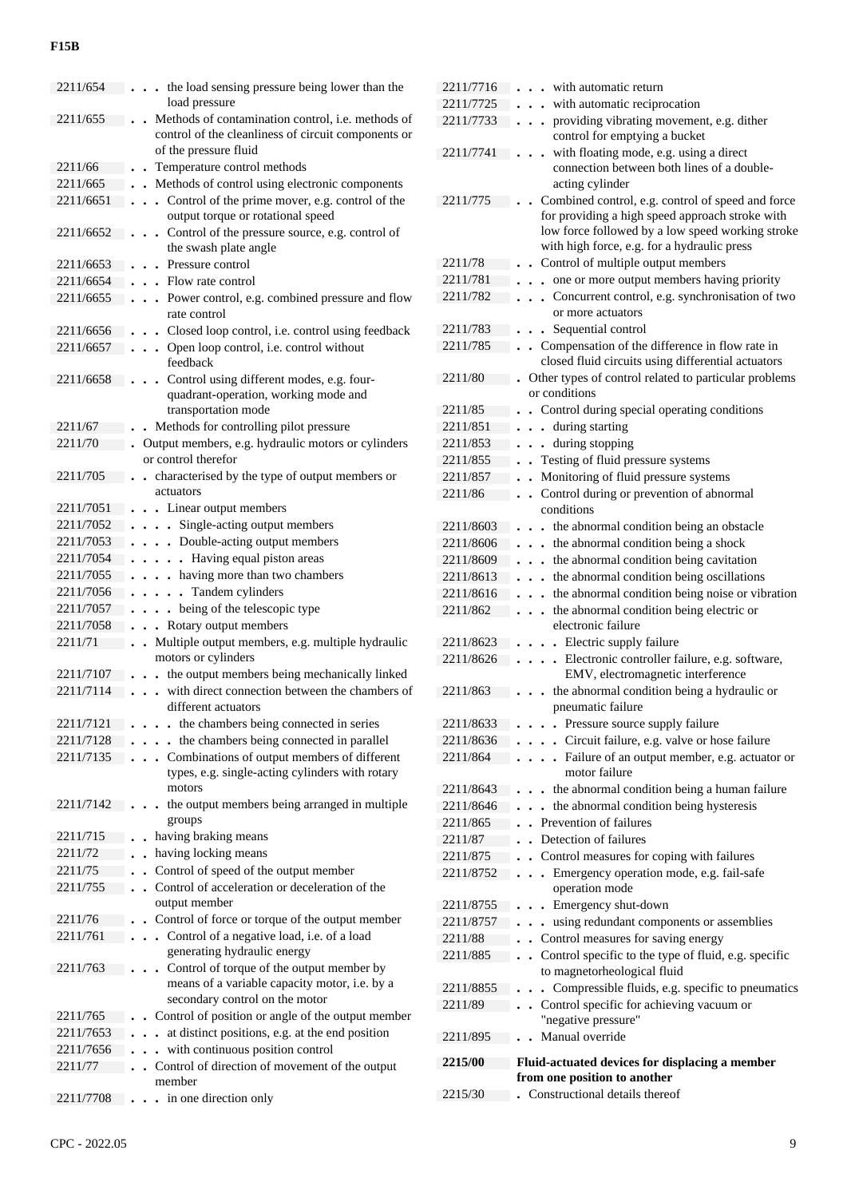| 2211/654  | the load sensing pressure being lower than the                                                 |
|-----------|------------------------------------------------------------------------------------------------|
|           | load pressure                                                                                  |
| 2211/655  | Methods of contamination control, i.e. methods of                                              |
|           | control of the cleanliness of circuit components or                                            |
|           | of the pressure fluid                                                                          |
| 2211/66   | Temperature control methods                                                                    |
| 2211/665  | Methods of control using electronic components                                                 |
| 2211/6651 | Control of the prime mover, e.g. control of the<br>$\ddot{\phantom{0}}$                        |
|           | output torque or rotational speed                                                              |
| 2211/6652 | Control of the pressure source, e.g. control of                                                |
|           | the swash plate angle                                                                          |
| 2211/6653 | Pressure control                                                                               |
| 2211/6654 | Flow rate control                                                                              |
| 2211/6655 | Power control, e.g. combined pressure and flow<br>$\ddot{\phantom{0}}$<br>$\ddot{\phantom{0}}$ |
|           | rate control                                                                                   |
| 2211/6656 | Closed loop control, i.e. control using feedback<br>$\bullet$                                  |
| 2211/6657 | • Open loop control, i.e. control without<br>feedback                                          |
|           |                                                                                                |
| 2211/6658 | Control using different modes, e.g. four-<br>quadrant-operation, working mode and              |
|           | transportation mode                                                                            |
| 2211/67   | Methods for controlling pilot pressure<br>$\ddot{\phantom{a}}$                                 |
| 2211/70   | . Output members, e.g. hydraulic motors or cylinders                                           |
|           | or control therefor                                                                            |
| 2211/705  | characterised by the type of output members or<br>$\ddot{\phantom{a}}$                         |
|           | actuators                                                                                      |
| 2211/7051 | • Linear output members                                                                        |
| 2211/7052 | . Single-acting output members                                                                 |
| 2211/7053 | . Double-acting output members                                                                 |
| 2211/7054 | Having equal piston areas<br>$\ddot{\phantom{a}}$                                              |
| 2211/7055 | . having more than two chambers                                                                |
| 2211/7056 | Tandem cylinders<br>$\ddot{\phantom{a}}$                                                       |
| 2211/7057 | . being of the telescopic type                                                                 |
| 2211/7058 | . . Rotary output members                                                                      |
| 2211/71   | Multiple output members, e.g. multiple hydraulic<br>$\ddot{\phantom{a}}$                       |
|           | motors or cylinders                                                                            |
| 2211/7107 | the output members being mechanically linked<br>$\ddot{\phantom{0}}$                           |
| 2211/7114 | with direct connection between the chambers of                                                 |
|           | different actuators                                                                            |
| 2211/7121 | - the chambers being connected in series                                                       |
| 2211/7128 | the chambers being connected in parallel                                                       |
| 2211/7135 | Combinations of output members of different<br>$\ddot{\phantom{0}}$                            |
|           | types, e.g. single-acting cylinders with rotary                                                |
|           | motors                                                                                         |
| 2211/7142 | the output members being arranged in multiple                                                  |
|           | groups                                                                                         |
| 2211/715  | having braking means                                                                           |
| 2211/72   | having locking means                                                                           |
| 2211/75   | Control of speed of the output member<br>$\ddot{\phantom{0}}$                                  |
| 2211/755  | Control of acceleration or deceleration of the<br>$\ddot{\phantom{a}}$                         |
|           | output member                                                                                  |
| 2211/76   | Control of force or torque of the output member                                                |
| 2211/761  | Control of a negative load, i.e. of a load                                                     |
|           | generating hydraulic energy                                                                    |
| 2211/763  | Control of torque of the output member by                                                      |
|           | means of a variable capacity motor, i.e. by a                                                  |
|           | secondary control on the motor                                                                 |
| 2211/765  | Control of position or angle of the output member                                              |
| 2211/7653 | at distinct positions, e.g. at the end position<br>$\ddot{\phantom{0}}$                        |
| 2211/7656 | with continuous position control<br>$\ddot{\phantom{0}}$                                       |
| 2211/77   | Control of direction of movement of the output<br>$\ddot{\phantom{0}}$                         |
|           | member                                                                                         |
| 2211/7708 | in one direction only                                                                          |
|           |                                                                                                |

| 2211/7716 | with automatic return                                                         |
|-----------|-------------------------------------------------------------------------------|
| 2211/7725 | with automatic reciprocation                                                  |
| 2211/7733 | providing vibrating movement, e.g. dither<br>$\ddot{\phantom{0}}$             |
|           | control for emptying a bucket                                                 |
| 2211/7741 | with floating mode, e.g. using a direct                                       |
|           | connection between both lines of a double-                                    |
|           | acting cylinder                                                               |
| 2211/775  | Combined control, e.g. control of speed and force                             |
|           | for providing a high speed approach stroke with                               |
|           | low force followed by a low speed working stroke                              |
|           | with high force, e.g. for a hydraulic press                                   |
| 2211/78   | Control of multiple output members                                            |
| 2211/781  | one or more output members having priority<br>$\ddot{\phantom{0}}$            |
| 2211/782  | Concurrent control, e.g. synchronisation of two<br>$\ddot{\phantom{0}}$       |
|           | or more actuators                                                             |
| 2211/783  | Sequential control                                                            |
| 2211/785  | Compensation of the difference in flow rate in<br>$\ddot{\phantom{0}}$        |
|           | closed fluid circuits using differential actuators                            |
| 2211/80   | Other types of control related to particular problems                         |
|           | or conditions                                                                 |
| 2211/85   | Control during special operating conditions                                   |
| 2211/851  | during starting                                                               |
| 2211/853  | during stopping                                                               |
| 2211/855  | Testing of fluid pressure systems                                             |
| 2211/857  | Monitoring of fluid pressure systems                                          |
| 2211/86   | Control during or prevention of abnormal<br>$\overline{a}$                    |
|           | conditions                                                                    |
| 2211/8603 | the abnormal condition being an obstacle                                      |
| 2211/8606 | . . the abnormal condition being a shock                                      |
| 2211/8609 | . . the abnormal condition being cavitation                                   |
| 2211/8613 | the abnormal condition being oscillations                                     |
| 2211/8616 | the abnormal condition being noise or vibration<br>$\ddot{\phantom{0}}$       |
| 2211/862  | the abnormal condition being electric or<br>$\ddot{\phantom{0}}$              |
|           | electronic failure                                                            |
| 2211/8623 | • Electric supply failure                                                     |
| 2211/8626 | . Electronic controller failure, e.g. software,                               |
|           | EMV, electromagnetic interference                                             |
| 2211/863  | the abnormal condition being a hydraulic or                                   |
|           | pneumatic failure                                                             |
| 2211/8633 | . Pressure source supply failure                                              |
| 2211/8636 | . Circuit failure, e.g. valve or hose failure                                 |
| 2211/864  | Failure of an output member, e.g. actuator or<br>$\ddot{\phantom{a}}$         |
|           | motor failure                                                                 |
| 2211/8643 | the abnormal condition being a human failure                                  |
| 2211/8646 | the abnormal condition being hysteresis<br>$\ddot{\phantom{0}}$               |
| 2211/865  | . Prevention of failures                                                      |
| 2211/87   | Detection of failures<br>$\ddot{\phantom{0}}$                                 |
| 2211/875  | Control measures for coping with failures<br>$\ddot{\phantom{a}}$             |
| 2211/8752 | Emergency operation mode, e.g. fail-safe<br>$\ddot{\phantom{0}}$<br>$\bullet$ |
|           | operation mode                                                                |
| 2211/8755 | • Emergency shut-down                                                         |
| 2211/8757 | using redundant components or assemblies<br>$\bullet$                         |
| 2211/88   | Control measures for saving energy                                            |
| 2211/885  | Control specific to the type of fluid, e.g. specific                          |
|           | to magnetorheological fluid                                                   |
| 2211/8855 | Compressible fluids, e.g. specific to pneumatics                              |
| 2211/89   | Control specific for achieving vacuum or                                      |
|           | "negative pressure"                                                           |
| 2211/895  | Manual override                                                               |
|           |                                                                               |
| 2215/00   | Fluid-actuated devices for displacing a member                                |
|           | from one position to another                                                  |
| 2215/30   | Constructional details thereof                                                |